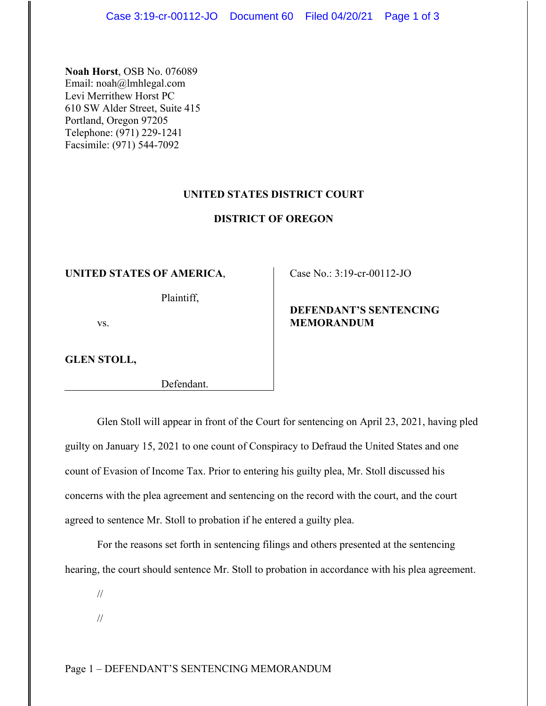**Noah Horst**, OSB No. 076089 Email: noah@lmhlegal.com Levi Merrithew Horst PC 610 SW Alder Street, Suite 415 Portland, Oregon 97205 Telephone: (971) 229-1241 Facsimile: (971) 544-7092

## **UNITED STATES DISTRICT COURT**

#### **DISTRICT OF OREGON**

#### **UNITED STATES OF AMERICA**,

Plaintiff,

vs.

**GLEN STOLL,**

Defendant.

Case No.: 3:19-cr-00112-JO

# **DEFENDANT'S SENTENCING MEMORANDUM**

Glen Stoll will appear in front of the Court for sentencing on April 23, 2021, having pled guilty on January 15, 2021 to one count of Conspiracy to Defraud the United States and one count of Evasion of Income Tax. Prior to entering his guilty plea, Mr. Stoll discussed his concerns with the plea agreement and sentencing on the record with the court, and the court agreed to sentence Mr. Stoll to probation if he entered a guilty plea.

For the reasons set forth in sentencing filings and others presented at the sentencing hearing, the court should sentence Mr. Stoll to probation in accordance with his plea agreement.

//

//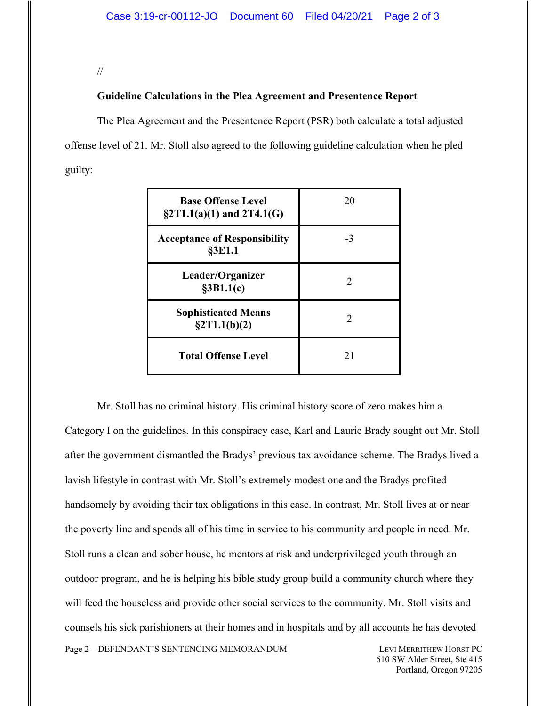//

# **Guideline Calculations in the Plea Agreement and Presentence Report**

The Plea Agreement and the Presentence Report (PSR) both calculate a total adjusted offense level of 21. Mr. Stoll also agreed to the following guideline calculation when he pled guilty:

| <b>Base Offense Level</b><br>$\S2T1.1(a)(1)$ and $2T4.1(G)$ | 20                          |
|-------------------------------------------------------------|-----------------------------|
| <b>Acceptance of Responsibility</b><br>§3E1.1               | -3                          |
| Leader/Organizer<br>§3B1.1(c)                               | 2                           |
| <b>Sophisticated Means</b><br>$\S 2T1.1(b)(2)$              | $\mathcal{D}_{\mathcal{L}}$ |
| <b>Total Offense Level</b>                                  | 21                          |

Mr. Stoll has no criminal history. His criminal history score of zero makes him a Category I on the guidelines. In this conspiracy case, Karl and Laurie Brady sought out Mr. Stoll after the government dismantled the Bradys' previous tax avoidance scheme. The Bradys lived a lavish lifestyle in contrast with Mr. Stoll's extremely modest one and the Bradys profited handsomely by avoiding their tax obligations in this case. In contrast, Mr. Stoll lives at or near the poverty line and spends all of his time in service to his community and people in need. Mr. Stoll runs a clean and sober house, he mentors at risk and underprivileged youth through an outdoor program, and he is helping his bible study group build a community church where they will feed the houseless and provide other social services to the community. Mr. Stoll visits and counsels his sick parishioners at their homes and in hospitals and by all accounts he has devoted

Page 2 – DEFENDANT'S SENTENCING MEMORANDUM LEVI MERRITHEW HORST PC